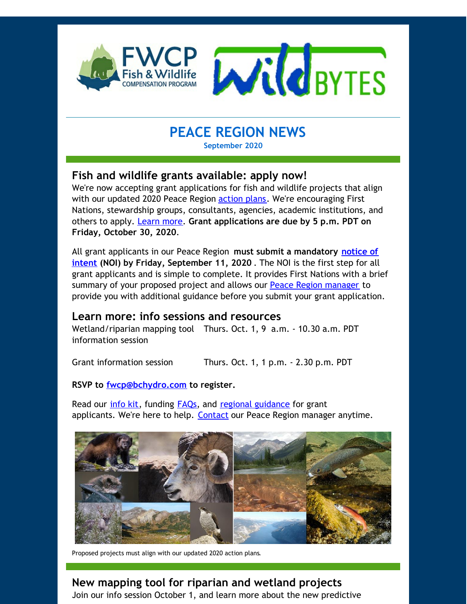

# **PEACE REGION NEWS**

## **September 2020**

## **Fish and wildlife grants available: apply now!**

We're now accepting grant applications for fish and wildlife projects that align with our updated 2020 Peace Region [action](http://r20.rs6.net/tn.jsp?f=0014tAwiVjSlfW7QvDxTFr85U0UFYbNJdea9myfDDxl4sDCdlCsIT177zDIz-qWYUWbRxrVOiyITTZnWth_0wJti5HyoHNzkVf5SnzZ7jcz1J8APBBtkKoxv9zO-1VWwjawc93Ag1uuIJkeK9Zyoe3DfduREwNPBFELS0r9mqb1iqXZrbmWzFOXSGP6ZF03BI4tpr5dzrYUHtY=&c=&ch=) plans. We're encouraging First Nations, stewardship groups, consultants, agencies, academic institutions, and others to apply. [Learn](http://r20.rs6.net/tn.jsp?f=0014tAwiVjSlfW7QvDxTFr85U0UFYbNJdea9myfDDxl4sDCdlCsIT177xWzVVpfxcL6FyvgJNhSFUEfDe6p8H6qHJ7lN_aFCpqUNGnVFr1m6m0I9SrieEtTiaD8CSyOJT5AS3iVJlJMDHsULnAALFEN8Pl3_cgsqIBIfSAA5tugaKlqbtgTt223-KIqFB5bVs8F&c=&ch=) more. **Grant applications are due by 5 p.m. PDT on Friday, October 30, 2020**.

All grant applicants in our Peace Region **must submit a mandatory notice of intent (NOI) by Friday, [September](http://r20.rs6.net/tn.jsp?f=0014tAwiVjSlfW7QvDxTFr85U0UFYbNJdea9myfDDxl4sDCdlCsIT177xWzVVpfxcL6hm9-6V63qeres1ZZiNSsg-qi5uRO5gfyo7n459aokAOSIlMDdCmpxYcrzrBKolHXHLcjYpLkK1iEywFqK3zeWDkxp6ss3Eszq1yom_fXYyiQR2feaa8VQesZblNaSLMMKOu6gw9llwo=&c=&ch=) 11, 2020** . The NOI is the first step for all grant applicants and is simple to complete. It provides First Nations with a brief summary of your proposed project and allows our Peace Region [manager](http://r20.rs6.net/tn.jsp?f=0014tAwiVjSlfW7QvDxTFr85U0UFYbNJdea9myfDDxl4sDCdlCsIT177xWzVVpfxcL6lEy5QOZd9DN2aAyWBhIb7ka0ZDqaVpGycMeGdPRkZTrKwa4UQEODE7Aw4x4xAt160HCmhg6yWY4wfHBx5_b1v2SztkfpBJ_M2yiw3hFDAM36zWzW8sEv5g==&c=&ch=) to provide you with additional guidance before you submit your grant application.

## **Learn more: info sessions and resources**

Wetland/riparian mapping tool Thurs. Oct. 1, 9 a.m. - 10.30 a.m. PDT information session

Grant information session Thurs. Oct. 1, 1 p.m. - 2.30 p.m. PDT

#### **RSVP to [fwcp@bchydro.com](mailto:fwcp@bchydro.com) to register.**

Read our *[info](http://r20.rs6.net/tn.jsp?f=0014tAwiVjSlfW7QvDxTFr85U0UFYbNJdea9myfDDxl4sDCdlCsIT177xWzVVpfxcL6o08qbIjMCNGQw4TSbkgRWUkvR_DsaA-6F6940VZUENwTS4OoPrnZGD6xGOt04ayyek17OxF3-x5MFTfo9P6Nhic4E3uEvtcxFdUpV6h-dmnOGxinoxVVah2m0p9mxN1DTxM28v5b14w=&c=&ch=) kit*, funding [FAQs](http://r20.rs6.net/tn.jsp?f=0014tAwiVjSlfW7QvDxTFr85U0UFYbNJdea9myfDDxl4sDCdlCsIT177xWzVVpfxcL6FyvgJNhSFUEfDe6p8H6qHJ7lN_aFCpqUNGnVFr1m6m0I9SrieEtTiaD8CSyOJT5AS3iVJlJMDHsULnAALFEN8Pl3_cgsqIBIfSAA5tugaKlqbtgTt223-KIqFB5bVs8F&c=&ch=), and regional [guidance](http://r20.rs6.net/tn.jsp?f=0014tAwiVjSlfW7QvDxTFr85U0UFYbNJdea9myfDDxl4sDCdlCsIT177xWzVVpfxcL6C9ien5662cI0ksYIhlaNUaXJWzdoe_EzA9GsSw9rXdXf8O__idwMozyOFC8FHtzvNccRsMf4VeyPrjSvLaWQYHOOrPDsPkkBzDSqxNteOVb5_GJzvLLXE5eOet535zfCNl0C9wIYRQo=&c=&ch=) for grant applicants. We're here to help. [Contact](mailto:chelsea.coady@bchydro.com) our Peace Region manager anytime.



Proposed projects must align with our updated 2020 action plans.

# **New mapping tool for riparian and wetland projects**

Join our info session October 1, and learn more about the new predictive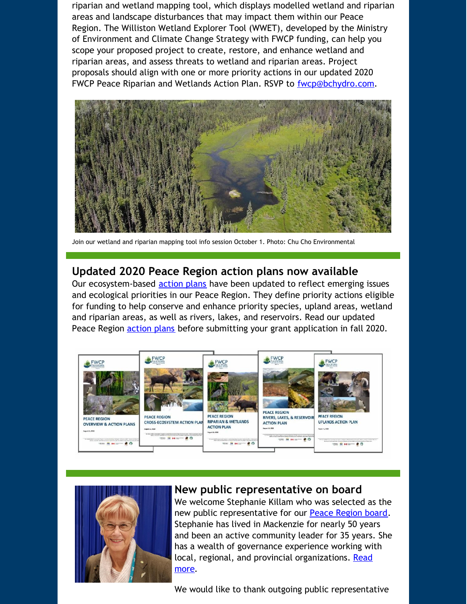riparian and wetland mapping tool, which displays modelled wetland and riparian areas and landscape disturbances that may impact them within our Peace Region. The Williston Wetland Explorer Tool (WWET), developed by the Ministry of Environment and Climate Change Strategy with FWCP funding, can help you scope your proposed project to create, restore, and enhance wetland and riparian areas, and assess threats to wetland and riparian areas. Project proposals should align with one or more priority actions in our updated 2020 FWCP Peace Riparian and Wetlands Action Plan. RSVP to [fwcp@bchydro.com](mailto:fwcp@bchydro.com).



Join our wetland and riparian mapping tool info session October 1. Photo: Chu Cho Environmental

### **Updated 2020 Peace Region action plans now available**

Our ecosystem-based **[action](http://r20.rs6.net/tn.jsp?f=0014tAwiVjSlfW7QvDxTFr85U0UFYbNJdea9myfDDxl4sDCdlCsIT177zDIz-qWYUWbRxrVOiyITTZnWth_0wJti5HyoHNzkVf5SnzZ7jcz1J8APBBtkKoxv9zO-1VWwjawc93Ag1uuIJkeK9Zyoe3DfduREwNPBFELS0r9mqb1iqXZrbmWzFOXSGP6ZF03BI4tpr5dzrYUHtY=&c=&ch=) plans** have been updated to reflect emerging issues and ecological priorities in our Peace Region. They define priority actions eligible for funding to help conserve and enhance priority species, upland areas, wetland and riparian areas, as well as rivers, lakes, and reservoirs. Read our updated Peace Region **[action](http://r20.rs6.net/tn.jsp?f=0014tAwiVjSlfW7QvDxTFr85U0UFYbNJdea9myfDDxl4sDCdlCsIT177zDIz-qWYUWbRxrVOiyITTZnWth_0wJti5HyoHNzkVf5SnzZ7jcz1J8APBBtkKoxv9zO-1VWwjawc93Ag1uuIJkeK9Zyoe3DfduREwNPBFELS0r9mqb1iqXZrbmWzFOXSGP6ZF03BI4tpr5dzrYUHtY=&c=&ch=) plans** before submitting your grant application in fall 2020.





### **New public representative on board**

We welcome Stephanie Killam who was selected as the new public representative for our Peace [Region](http://r20.rs6.net/tn.jsp?f=0014tAwiVjSlfW7QvDxTFr85U0UFYbNJdea9myfDDxl4sDCdlCsIT177zDIz-qWYUWbvMalm6-Azf62QSxXPEWFzjHbJ9MhVdrDhZzK2fndhQHA7njNifVBvKw4svLDk1P61x7SuAuOmpQRBM4O-X9yFHlfesMgGjCfdKAPhRV4TVP1NlweoFXQYJfNZ1Z8w0pybyOsl7ZLTDw=&c=&ch=) board. Stephanie has lived in Mackenzie for nearly 50 years and been an active community leader for 35 years. She has a wealth of governance experience working with local, regional, and provincial [organizations.](http://r20.rs6.net/tn.jsp?f=0014tAwiVjSlfW7QvDxTFr85U0UFYbNJdea9myfDDxl4sDCdlCsIT177zDIz-qWYUWbr86h_UTTzPAf2nKgWDc5LJHhPnXX09e-4txqmvQdFj0fOD0EvLCYulzZZlGVpODlF7f38TguF1TGz7-_JTG7kyUskQ2_AmF6Mt20PCTinHDePK34tTVSPq48y1IcZcWeAULyaHeMt-Ef-d6y_SNZRtj5je1uBVAE&c=&ch=) Read more.

We would like to thank outgoing public representative